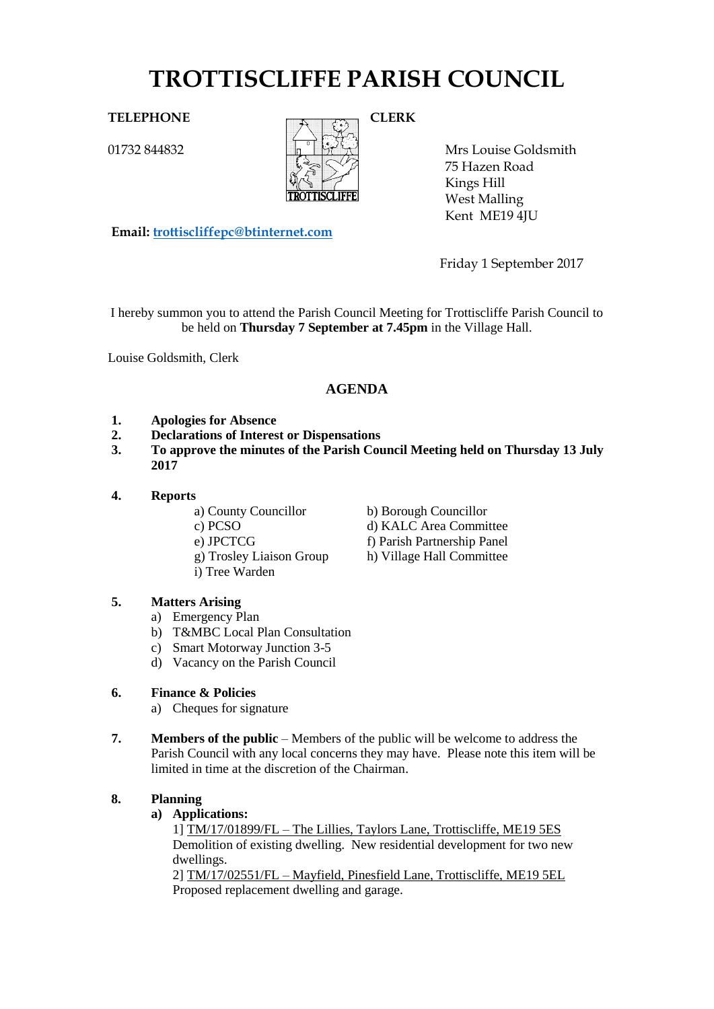# **TROTTISCLIFFE PARISH COUNCIL**

01732 844832



Mrs Louise Goldsmith 75 Hazen Road Kings Hill West Malling Kent ME19 4JU

**Email: [trottiscliffepc@btinternet.com](mailto:trottiscliffepc@btinternet.com)**

Friday 1 September 2017

I hereby summon you to attend the Parish Council Meeting for Trottiscliffe Parish Council to be held on **Thursday 7 September at 7.45pm** in the Village Hall.

Louise Goldsmith, Clerk

# **AGENDA**

- **1. Apologies for Absence**
- **2. Declarations of Interest or Dispensations**
- **3. To approve the minutes of the Parish Council Meeting held on Thursday 13 July 2017**
- **4. Reports**
	- a) County Councillor b) Borough Councillor
	- c) PCSO d) KALC Area Committee
	- e) JPCTCG f) Parish Partnership Panel
	- g) Trosley Liaison Group h) Village Hall Committee
	- i) Tree Warden
- **5. Matters Arising** 
	- a) Emergency Plan
	- b) T&MBC Local Plan Consultation
	- c) Smart Motorway Junction 3-5
	- d) Vacancy on the Parish Council

# **6. Finance & Policies**

- a) Cheques for signature
- **7. Members of the public** Members of the public will be welcome to address the Parish Council with any local concerns they may have. Please note this item will be limited in time at the discretion of the Chairman.

# **8. Planning**

# **a) Applications:**

1] TM/17/01899/FL – The Lillies, Taylors Lane, Trottiscliffe, ME19 5ES Demolition of existing dwelling. New residential development for two new dwellings.

2] TM/17/02551/FL – Mayfield, Pinesfield Lane, Trottiscliffe, ME19 5EL Proposed replacement dwelling and garage.